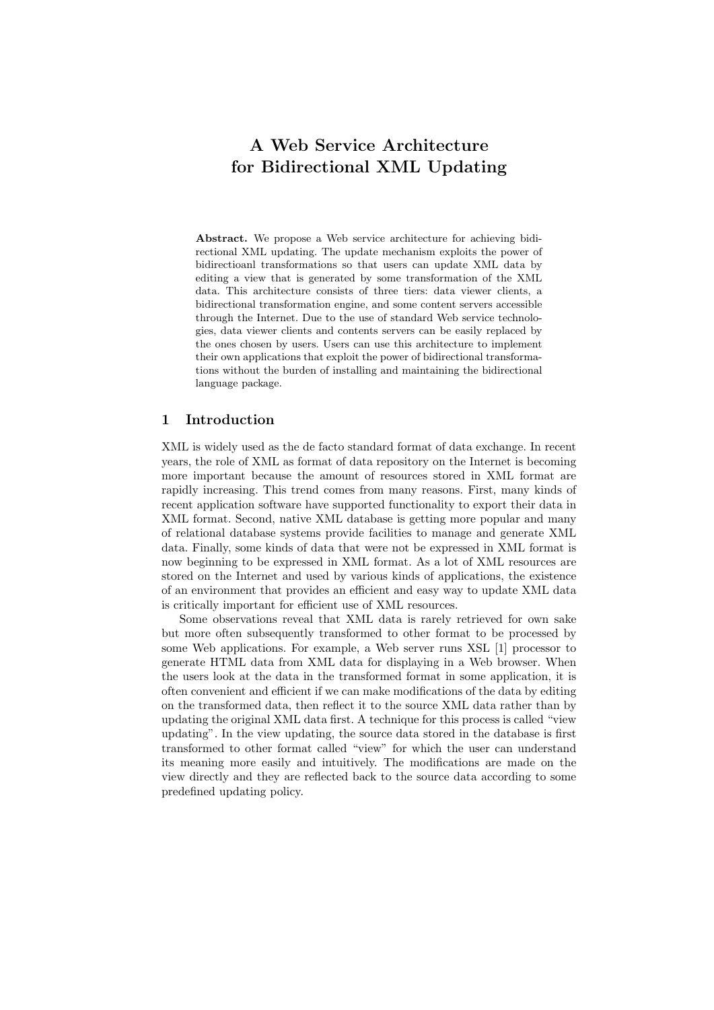# **A Web Service Architecture for Bidirectional XML Updating**

**Abstract.** We propose a Web service architecture for achieving bidirectional XML updating. The update mechanism exploits the power of bidirectioanl transformations so that users can update XML data by editing a view that is generated by some transformation of the XML data. This architecture consists of three tiers: data viewer clients, a bidirectional transformation engine, and some content servers accessible through the Internet. Due to the use of standard Web service technologies, data viewer clients and contents servers can be easily replaced by the ones chosen by users. Users can use this architecture to implement their own applications that exploit the power of bidirectional transformations without the burden of installing and maintaining the bidirectional language package.

## **1 Introduction**

XML is widely used as the de facto standard format of data exchange. In recent years, the role of XML as format of data repository on the Internet is becoming more important because the amount of resources stored in XML format are rapidly increasing. This trend comes from many reasons. First, many kinds of recent application software have supported functionality to export their data in XML format. Second, native XML database is getting more popular and many of relational database systems provide facilities to manage and generate XML data. Finally, some kinds of data that were not be expressed in XML format is now beginning to be expressed in XML format. As a lot of XML resources are stored on the Internet and used by various kinds of applications, the existence of an environment that provides an efficient and easy way to update XML data is critically important for efficient use of XML resources.

Some observations reveal that XML data is rarely retrieved for own sake but more often subsequently transformed to other format to be processed by some Web applications. For example, a Web server runs XSL [1] processor to generate HTML data from XML data for displaying in a Web browser. When the users look at the data in the transformed format in some application, it is often convenient and efficient if we can make modifications of the data by editing on the transformed data, then reflect it to the source XML data rather than by updating the original XML data first. A technique for this process is called "view updating". In the view updating, the source data stored in the database is first transformed to other format called "view" for which the user can understand its meaning more easily and intuitively. The modifications are made on the view directly and they are reflected back to the source data according to some predefined updating policy.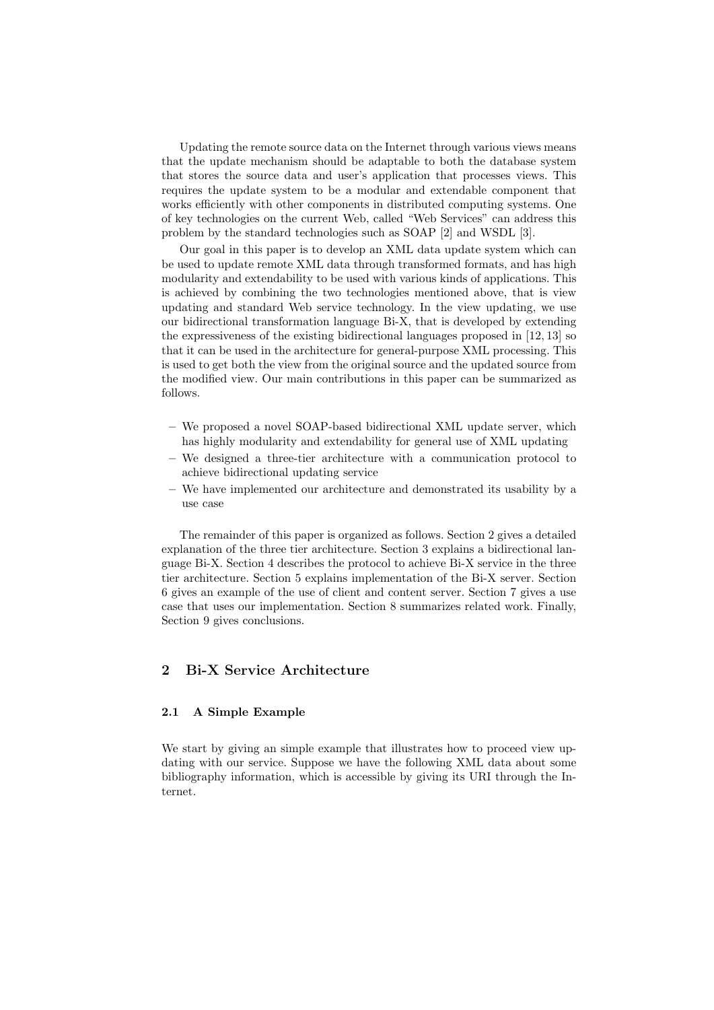Updating the remote source data on the Internet through various views means that the update mechanism should be adaptable to both the database system that stores the source data and user's application that processes views. This requires the update system to be a modular and extendable component that works efficiently with other components in distributed computing systems. One of key technologies on the current Web, called "Web Services" can address this problem by the standard technologies such as SOAP [2] and WSDL [3].

Our goal in this paper is to develop an XML data update system which can be used to update remote XML data through transformed formats, and has high modularity and extendability to be used with various kinds of applications. This is achieved by combining the two technologies mentioned above, that is view updating and standard Web service technology. In the view updating, we use our bidirectional transformation language Bi-X, that is developed by extending the expressiveness of the existing bidirectional languages proposed in [12, 13] so that it can be used in the architecture for general-purpose XML processing. This is used to get both the view from the original source and the updated source from the modified view. Our main contributions in this paper can be summarized as follows.

- **–** We proposed a novel SOAP-based bidirectional XML update server, which has highly modularity and extendability for general use of XML updating
- **–** We designed a three-tier architecture with a communication protocol to achieve bidirectional updating service
- **–** We have implemented our architecture and demonstrated its usability by a use case

The remainder of this paper is organized as follows. Section 2 gives a detailed explanation of the three tier architecture. Section 3 explains a bidirectional language Bi-X. Section 4 describes the protocol to achieve Bi-X service in the three tier architecture. Section 5 explains implementation of the Bi-X server. Section 6 gives an example of the use of client and content server. Section 7 gives a use case that uses our implementation. Section 8 summarizes related work. Finally, Section 9 gives conclusions.

# **2 Bi-X Service Architecture**

## **2.1 A Simple Example**

We start by giving an simple example that illustrates how to proceed view updating with our service. Suppose we have the following XML data about some bibliography information, which is accessible by giving its URI through the Internet.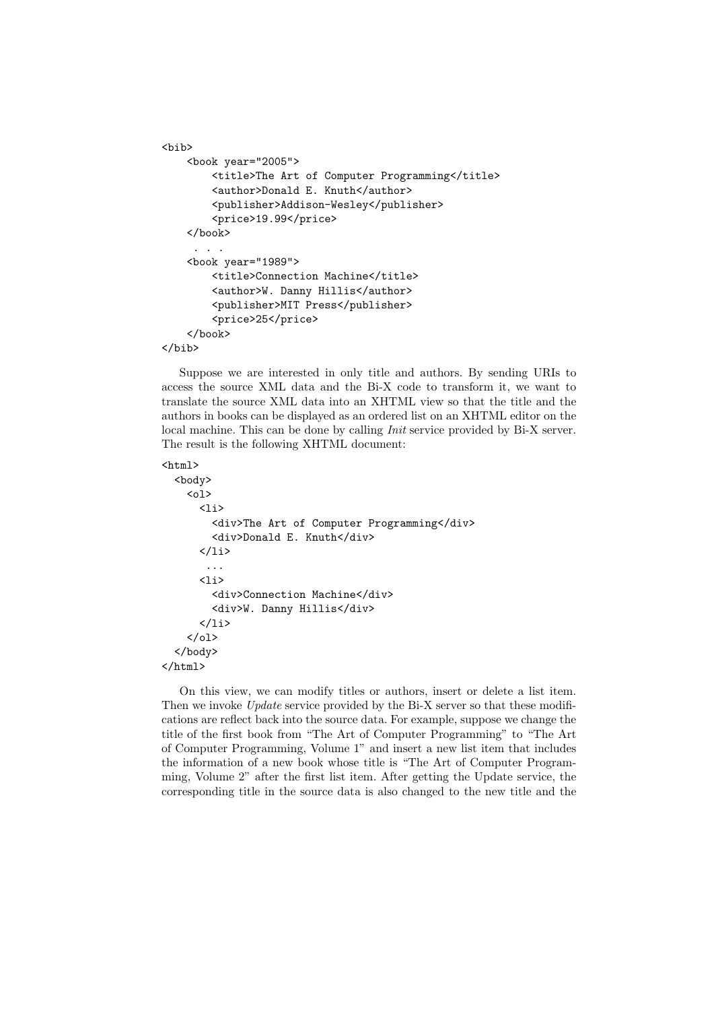```
<bib>
    <book year="2005">
        <title>The Art of Computer Programming</title>
        <author>Donald E. Knuth</author>
        <publisher>Addison-Wesley</publisher>
        <price>19.99</price>
   </book>
     . . .
    <book year="1989">
        <title>Connection Machine</title>
        <author>W. Danny Hillis</author>
        <publisher>MIT Press</publisher>
        <price>25</price>
    </book>
</bib>
```
Suppose we are interested in only title and authors. By sending URIs to access the source XML data and the Bi-X code to transform it, we want to translate the source XML data into an XHTML view so that the title and the authors in books can be displayed as an ordered list on an XHTML editor on the local machine. This can be done by calling *Init* service provided by Bi-X server. The result is the following XHTML document:

```
\verb|html|<body>
     <sub>o1</sub></sub>
       \langleli\rangle<div>The Art of Computer Programming</div>
          <div>Donald E. Knuth</div>
       \langle/li>
         ...
       \langleli>
          <div>Connection Machine</div>
          <div>W. Danny Hillis</div>
       \langle/li>
     \langle/ol>
  </body>
</html>
```
On this view, we can modify titles or authors, insert or delete a list item. Then we invoke *Update* service provided by the Bi-X server so that these modifications are reflect back into the source data. For example, suppose we change the title of the first book from "The Art of Computer Programming" to "The Art of Computer Programming, Volume 1" and insert a new list item that includes the information of a new book whose title is "The Art of Computer Programming, Volume 2" after the first list item. After getting the Update service, the corresponding title in the source data is also changed to the new title and the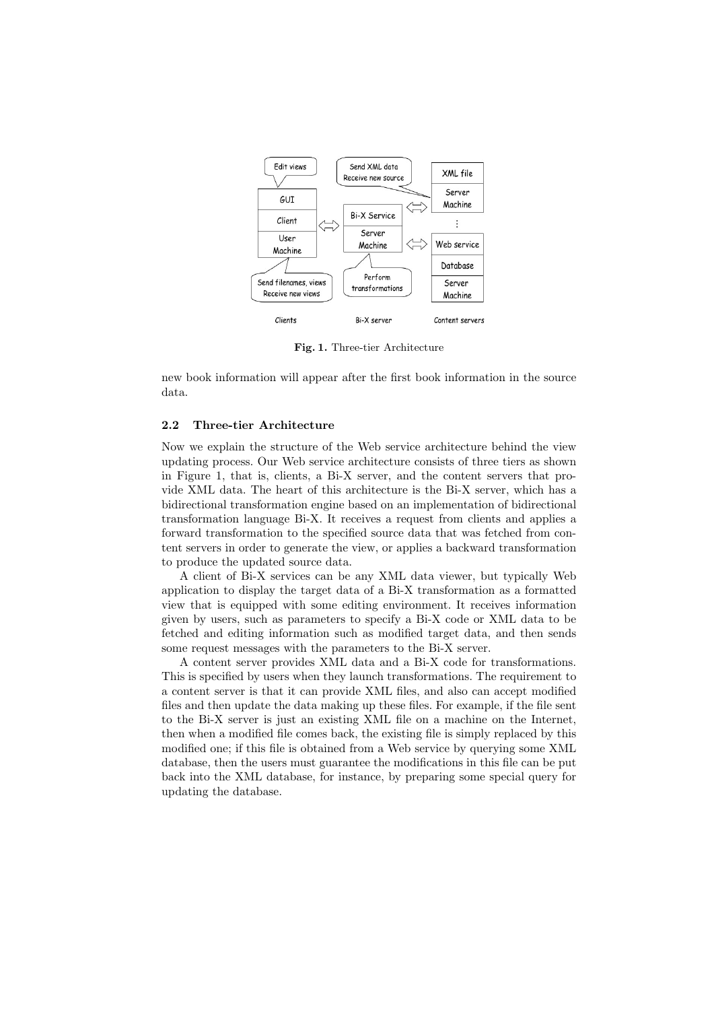

**Fig. 1.** Three-tier Architecture

new book information will appear after the first book information in the source data.

## **2.2 Three-tier Architecture**

Now we explain the structure of the Web service architecture behind the view updating process. Our Web service architecture consists of three tiers as shown in Figure 1, that is, clients, a Bi-X server, and the content servers that provide XML data. The heart of this architecture is the Bi-X server, which has a bidirectional transformation engine based on an implementation of bidirectional transformation language Bi-X. It receives a request from clients and applies a forward transformation to the specified source data that was fetched from content servers in order to generate the view, or applies a backward transformation to produce the updated source data.

A client of Bi-X services can be any XML data viewer, but typically Web application to display the target data of a Bi-X transformation as a formatted view that is equipped with some editing environment. It receives information given by users, such as parameters to specify a Bi-X code or XML data to be fetched and editing information such as modified target data, and then sends some request messages with the parameters to the Bi-X server.

A content server provides XML data and a Bi-X code for transformations. This is specified by users when they launch transformations. The requirement to a content server is that it can provide XML files, and also can accept modified files and then update the data making up these files. For example, if the file sent to the Bi-X server is just an existing XML file on a machine on the Internet, then when a modified file comes back, the existing file is simply replaced by this modified one; if this file is obtained from a Web service by querying some XML database, then the users must guarantee the modifications in this file can be put back into the XML database, for instance, by preparing some special query for updating the database.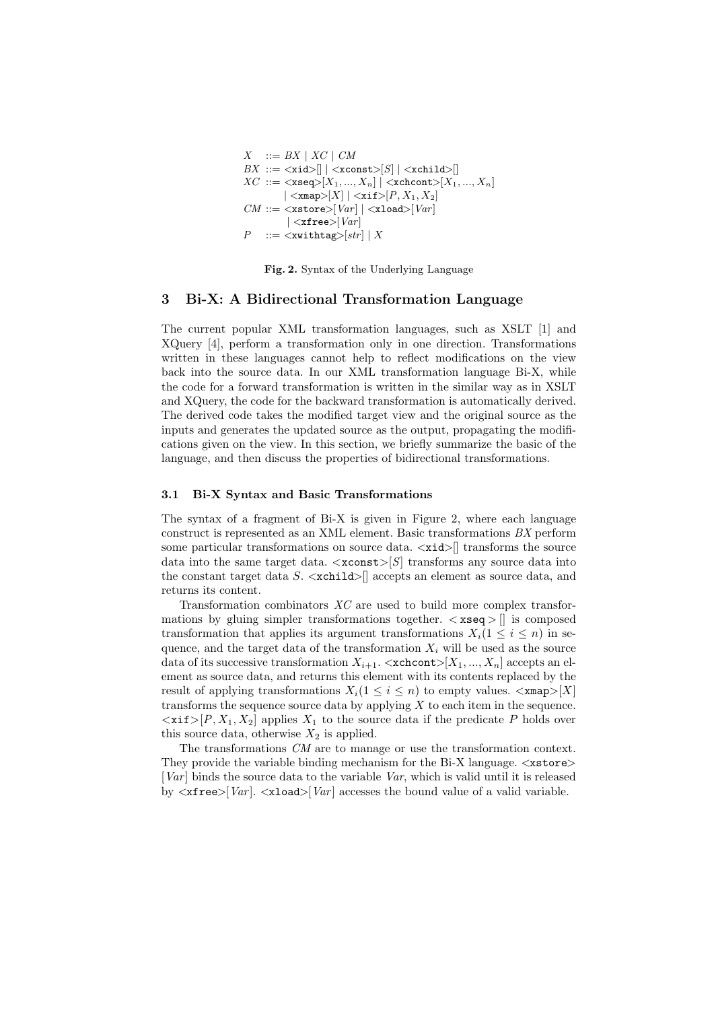$$
X ::= BX | XC | CM
$$
  
\n
$$
BX ::= \langle \mathbf{xid} \rangle [ | \langle \mathbf{xconst} \rangle [S] | \langle \mathbf{xchild} \rangle [ ]
$$
  
\n
$$
XC ::= \langle \mathbf{xseq} \rangle [X_1, ..., X_n] | \langle \mathbf{xchcont} \rangle [X_1, ..., X_n]
$$
  
\n
$$
| \langle \mathbf{xmap} \rangle [X] | \langle \mathbf{xif} \rangle [P, X_1, X_2]
$$
  
\n
$$
CM ::= \langle \mathbf{xstore} \rangle [Var] | \langle \mathbf{xload} \rangle [Var]
$$
  
\n
$$
P ::= \langle \mathbf{xwithtag} \rangle [str] | X
$$

**Fig. 2.** Syntax of the Underlying Language

## **3 Bi-X: A Bidirectional Transformation Language**

The current popular XML transformation languages, such as XSLT [1] and XQuery [4], perform a transformation only in one direction. Transformations written in these languages cannot help to reflect modifications on the view back into the source data. In our XML transformation language Bi-X, while the code for a forward transformation is written in the similar way as in XSLT and XQuery, the code for the backward transformation is automatically derived. The derived code takes the modified target view and the original source as the inputs and generates the updated source as the output, propagating the modifications given on the view. In this section, we briefly summarize the basic of the language, and then discuss the properties of bidirectional transformations.

### **3.1 Bi-X Syntax and Basic Transformations**

The syntax of a fragment of Bi-X is given in Figure 2, where each language construct is represented as an XML element. Basic transformations *BX* perform some particular transformations on source data. *<*xid*>*[] transforms the source data into the same target data. *<*xconst*>*[*S*] transforms any source data into the constant target data *S*. *<*xchild*>*[] accepts an element as source data, and returns its content.

Transformation combinators *XC* are used to build more complex transformations by gluing simpler transformations together. *<* xseq *>* [] is composed transformation that applies its argument transformations  $X_i(1 \leq i \leq n)$  in sequence, and the target data of the transformation  $X_i$  will be used as the source data of its successive transformation  $X_{i+1}$ .  $\langle$ xchcont $\rangle$ [ $X_1, ..., X_n$ ] accepts an element as source data, and returns this element with its contents replaced by the result of applying transformations  $X_i$  ( $1 \leq i \leq n$ ) to empty values.  $\langle x \mod p \rangle$  [X] transforms the sequence source data by applying *X* to each item in the sequence.  $\langle xif \rangle [P, X_1, X_2]$  applies  $X_1$  to the source data if the predicate *P* holds over this source data, otherwise  $X_2$  is applied.

The transformations *CM* are to manage or use the transformation context. They provide the variable binding mechanism for the Bi-X language. *<*xstore*>* [*Var* ] binds the source data to the variable *Var*, which is valid until it is released by  $\langle \text{xfree}\rangle$ [*Var*].  $\langle \text{xload}\rangle$ [*Var*] accesses the bound value of a valid variable.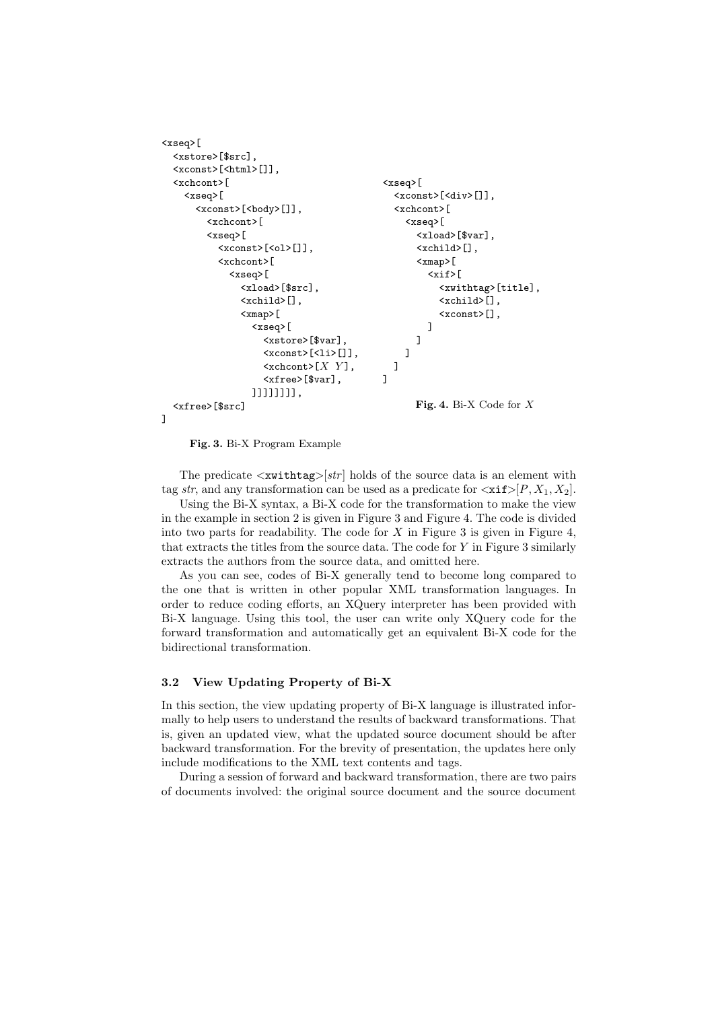```
<xseq>[
  <xstore>[$src],
  <xconst>[<html>[]],
  <xchcont>[
    <xseq>[
       <xconst>[<body>[]],
         <xchcont>[
         <xseq>[
            <xconst>[<ol>[]],
            <xchcont>[
              <xseq>[
                <xload>[$src],
                <xchild>[],
                <xmap>[
                   <xseq>[
                     <xstore>[$var],
                     \langle x \text{const} \rangle[\langle 1i \rangle[]],
                     \langlexchcont>[X Y],
                     <xfree>[$var],
                   ]]]]]]]],
  <xfree>[$src]
]
                                              <xseq>[
                                                <xconst>[<div>[]],
                                                <xchcont>[
                                                   <xseq>[
                                                     <xload>[$var],
                                                     \langlexchild>[],
                                                     <xmap>[
                                                        <xif>[
                                                          <xwithtag>[title],
                                                          <xchild>[],
                                                          <xconst>[],
                                                       ]
                                                     ]
                                                   ]
                                                ]
                                              ]
                                                     Fig. 4. Bi-X Code for X
```
**Fig. 3.** Bi-X Program Example

The predicate *<*xwithtag*>*[*str* ] holds of the source data is an element with tag *str*, and any transformation can be used as a predicate for  $\langle \text{xit} \rangle [P, X_1, X_2]$ .

Using the Bi-X syntax, a Bi-X code for the transformation to make the view in the example in section 2 is given in Figure 3 and Figure 4. The code is divided into two parts for readability. The code for  $X$  in Figure 3 is given in Figure 4, that extracts the titles from the source data. The code for *Y* in Figure 3 similarly extracts the authors from the source data, and omitted here.

As you can see, codes of Bi-X generally tend to become long compared to the one that is written in other popular XML transformation languages. In order to reduce coding efforts, an XQuery interpreter has been provided with Bi-X language. Using this tool, the user can write only XQuery code for the forward transformation and automatically get an equivalent Bi-X code for the bidirectional transformation.

### **3.2 View Updating Property of Bi-X**

In this section, the view updating property of Bi-X language is illustrated informally to help users to understand the results of backward transformations. That is, given an updated view, what the updated source document should be after backward transformation. For the brevity of presentation, the updates here only include modifications to the XML text contents and tags.

During a session of forward and backward transformation, there are two pairs of documents involved: the original source document and the source document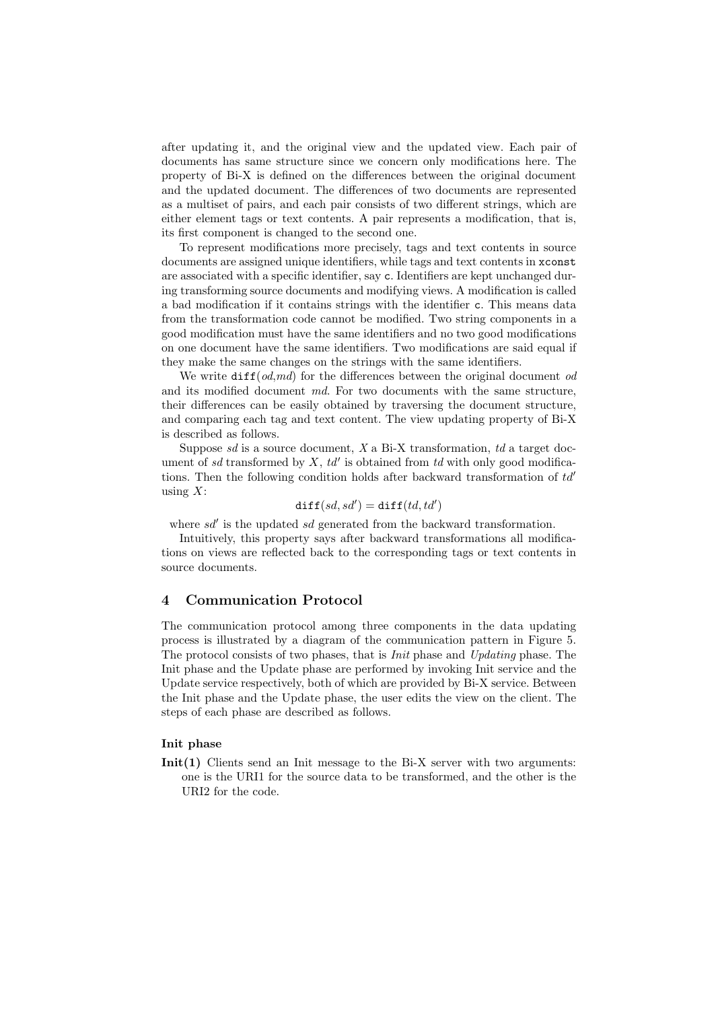after updating it, and the original view and the updated view. Each pair of documents has same structure since we concern only modifications here. The property of Bi-X is defined on the differences between the original document and the updated document. The differences of two documents are represented as a multiset of pairs, and each pair consists of two different strings, which are either element tags or text contents. A pair represents a modification, that is, its first component is changed to the second one.

To represent modifications more precisely, tags and text contents in source documents are assigned unique identifiers, while tags and text contents in xconst are associated with a specific identifier, say c. Identifiers are kept unchanged during transforming source documents and modifying views. A modification is called a bad modification if it contains strings with the identifier c. This means data from the transformation code cannot be modified. Two string components in a good modification must have the same identifiers and no two good modifications on one document have the same identifiers. Two modifications are said equal if they make the same changes on the strings with the same identifiers.

We write diff(*od*,*md*) for the differences between the original document *od* and its modified document *md*. For two documents with the same structure, their differences can be easily obtained by traversing the document structure, and comparing each tag and text content. The view updating property of Bi-X is described as follows.

Suppose *sd* is a source document, *X* a Bi-X transformation, *td* a target document of *sd* transformed by *X*, *td′* is obtained from *td* with only good modifications. Then the following condition holds after backward transformation of *td′* using *X*:

## $\texttt{diff}(sd, sd') = \texttt{diff}(td, td')$

where *sd′* is the updated *sd* generated from the backward transformation.

Intuitively, this property says after backward transformations all modifications on views are reflected back to the corresponding tags or text contents in source documents.

## **4 Communication Protocol**

The communication protocol among three components in the data updating process is illustrated by a diagram of the communication pattern in Figure 5. The protocol consists of two phases, that is *Init* phase and *Updating* phase. The Init phase and the Update phase are performed by invoking Init service and the Update service respectively, both of which are provided by Bi-X service. Between the Init phase and the Update phase, the user edits the view on the client. The steps of each phase are described as follows.

### **Init phase**

**Init(1)** Clients send an Init message to the Bi-X server with two arguments: one is the URI1 for the source data to be transformed, and the other is the URI2 for the code.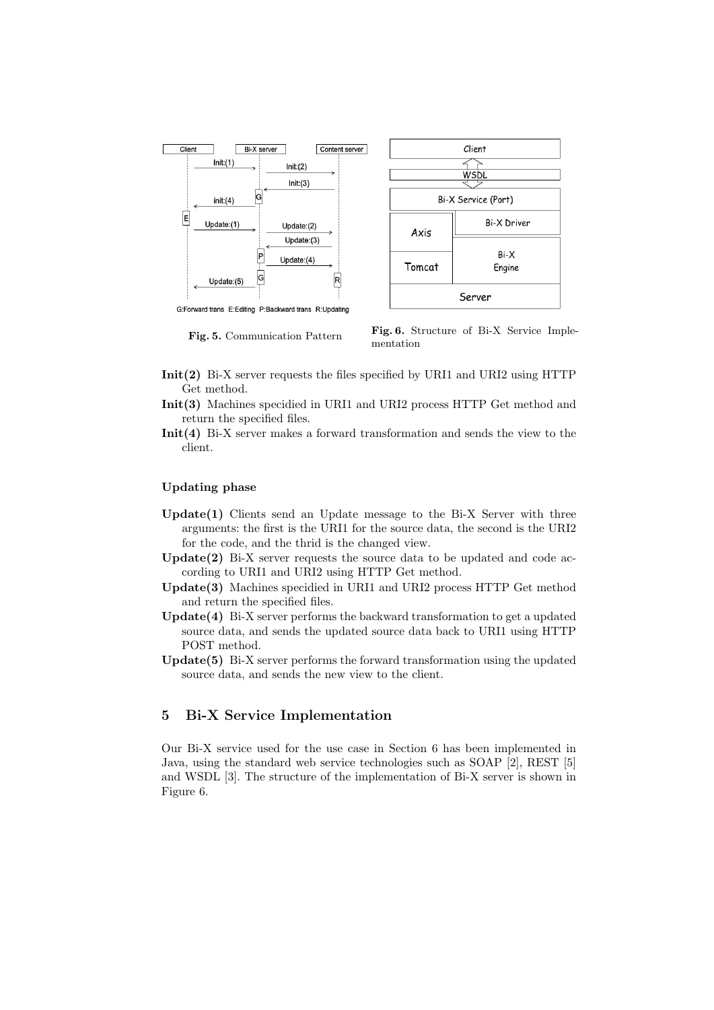

**Fig. 5.** Communication Pattern **Fig. 6.** Structure of Bi-X Service Implementation

- **Init(2)** Bi-X server requests the files specified by URI1 and URI2 using HTTP Get method.
- **Init(3)** Machines specidied in URI1 and URI2 process HTTP Get method and return the specified files.
- **Init(4)** Bi-X server makes a forward transformation and sends the view to the client.

## **Updating phase**

- **Update(1)** Clients send an Update message to the Bi-X Server with three arguments: the first is the URI1 for the source data, the second is the URI2 for the code, and the thrid is the changed view.
- **Update(2)** Bi-X server requests the source data to be updated and code according to URI1 and URI2 using HTTP Get method.
- **Update(3)** Machines specidied in URI1 and URI2 process HTTP Get method and return the specified files.
- **Update(4)** Bi-X server performs the backward transformation to get a updated source data, and sends the updated source data back to URI1 using HTTP POST method.
- **Update(5)** Bi-X server performs the forward transformation using the updated source data, and sends the new view to the client.

# **5 Bi-X Service Implementation**

Our Bi-X service used for the use case in Section 6 has been implemented in Java, using the standard web service technologies such as SOAP [2], REST [5] and WSDL [3]. The structure of the implementation of Bi-X server is shown in Figure 6.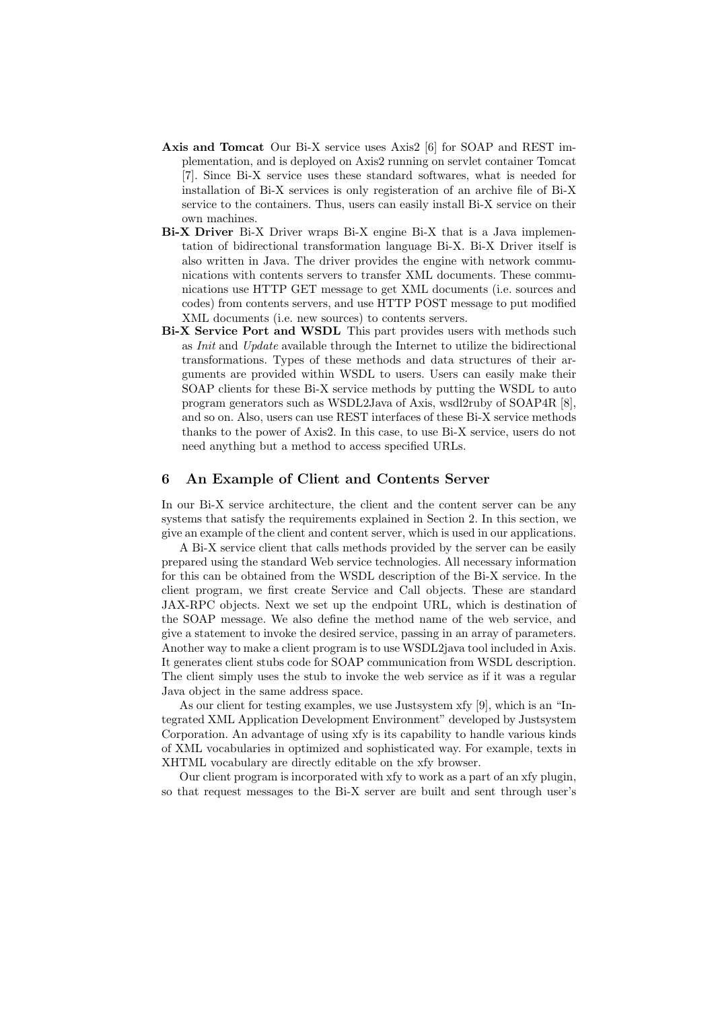- **Axis and Tomcat** Our Bi-X service uses Axis2 [6] for SOAP and REST implementation, and is deployed on Axis2 running on servlet container Tomcat [7]. Since Bi-X service uses these standard softwares, what is needed for installation of Bi-X services is only registeration of an archive file of Bi-X service to the containers. Thus, users can easily install Bi-X service on their own machines.
- **Bi-X Driver** Bi-X Driver wraps Bi-X engine Bi-X that is a Java implementation of bidirectional transformation language Bi-X. Bi-X Driver itself is also written in Java. The driver provides the engine with network communications with contents servers to transfer XML documents. These communications use HTTP GET message to get XML documents (i.e. sources and codes) from contents servers, and use HTTP POST message to put modified XML documents (i.e. new sources) to contents servers.
- **Bi-X Service Port and WSDL** This part provides users with methods such as *Init* and *Update* available through the Internet to utilize the bidirectional transformations. Types of these methods and data structures of their arguments are provided within WSDL to users. Users can easily make their SOAP clients for these Bi-X service methods by putting the WSDL to auto program generators such as WSDL2Java of Axis, wsdl2ruby of SOAP4R [8], and so on. Also, users can use REST interfaces of these Bi-X service methods thanks to the power of Axis2. In this case, to use Bi-X service, users do not need anything but a method to access specified URLs.

## **6 An Example of Client and Contents Server**

In our Bi-X service architecture, the client and the content server can be any systems that satisfy the requirements explained in Section 2. In this section, we give an example of the client and content server, which is used in our applications.

A Bi-X service client that calls methods provided by the server can be easily prepared using the standard Web service technologies. All necessary information for this can be obtained from the WSDL description of the Bi-X service. In the client program, we first create Service and Call objects. These are standard JAX-RPC objects. Next we set up the endpoint URL, which is destination of the SOAP message. We also define the method name of the web service, and give a statement to invoke the desired service, passing in an array of parameters. Another way to make a client program is to use WSDL2java tool included in Axis. It generates client stubs code for SOAP communication from WSDL description. The client simply uses the stub to invoke the web service as if it was a regular Java object in the same address space.

As our client for testing examples, we use Justsystem xfy [9], which is an "Integrated XML Application Development Environment" developed by Justsystem Corporation. An advantage of using xfy is its capability to handle various kinds of XML vocabularies in optimized and sophisticated way. For example, texts in XHTML vocabulary are directly editable on the xfy browser.

Our client program is incorporated with xfy to work as a part of an xfy plugin, so that request messages to the Bi-X server are built and sent through user's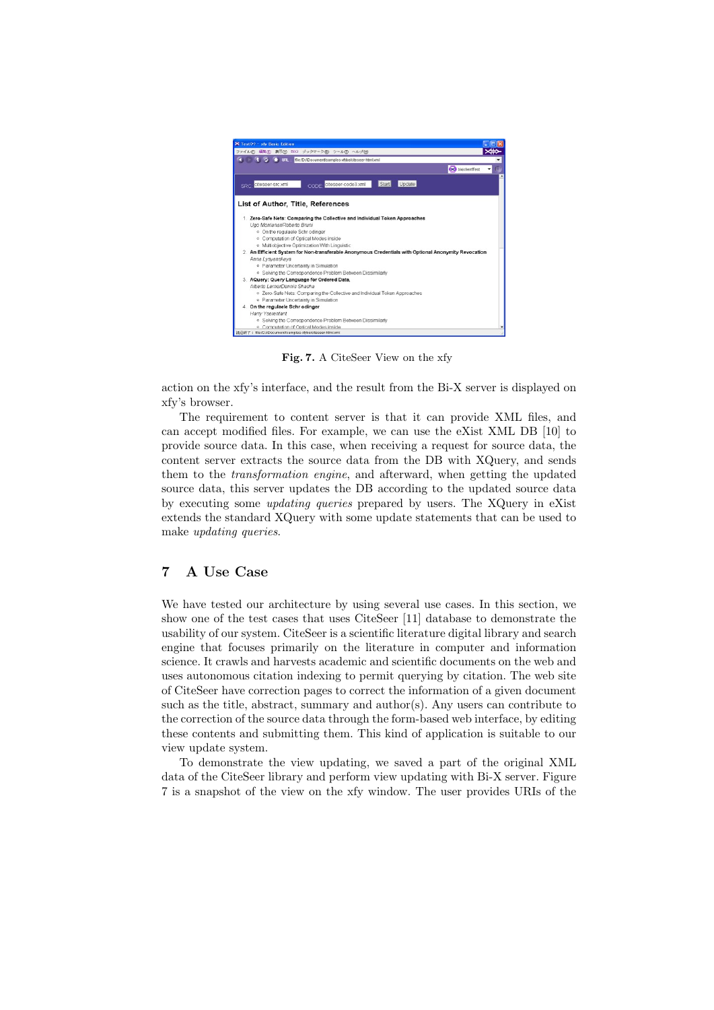

**Fig. 7.** A CiteSeer View on the xfy

action on the xfy's interface, and the result from the Bi-X server is displayed on xfy's browser.

The requirement to content server is that it can provide XML files, and can accept modified files. For example, we can use the eXist XML DB [10] to provide source data. In this case, when receiving a request for source data, the content server extracts the source data from the DB with XQuery, and sends them to the *transformation engine*, and afterward, when getting the updated source data, this server updates the DB according to the updated source data by executing some *updating queries* prepared by users. The XQuery in eXist extends the standard XQuery with some update statements that can be used to make *updating queries*.

# **7 A Use Case**

We have tested our architecture by using several use cases. In this section, we show one of the test cases that uses CiteSeer [11] database to demonstrate the usability of our system. CiteSeer is a scientific literature digital library and search engine that focuses primarily on the literature in computer and information science. It crawls and harvests academic and scientific documents on the web and uses autonomous citation indexing to permit querying by citation. The web site of CiteSeer have correction pages to correct the information of a given document such as the title, abstract, summary and author(s). Any users can contribute to the correction of the source data through the form-based web interface, by editing these contents and submitting them. This kind of application is suitable to our view update system.

To demonstrate the view updating, we saved a part of the original XML data of the CiteSeer library and perform view updating with Bi-X server. Figure 7 is a snapshot of the view on the xfy window. The user provides URIs of the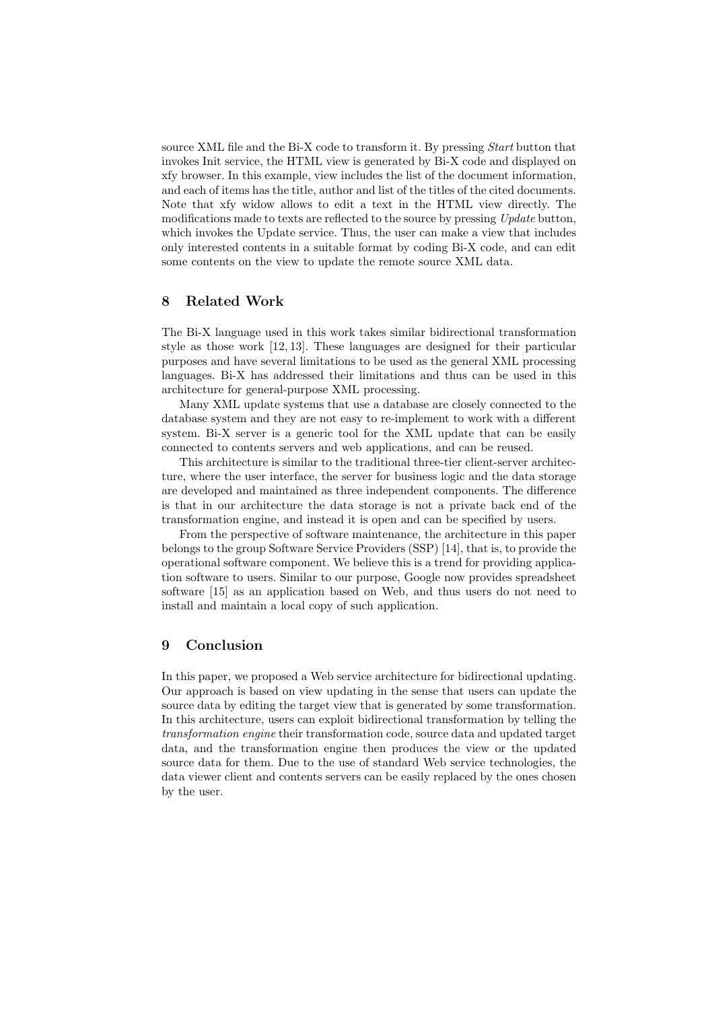source XML file and the Bi-X code to transform it. By pressing *Start* button that invokes Init service, the HTML view is generated by Bi-X code and displayed on xfy browser. In this example, view includes the list of the document information, and each of items has the title, author and list of the titles of the cited documents. Note that xfy widow allows to edit a text in the HTML view directly. The modifications made to texts are reflected to the source by pressing *Update* button, which invokes the Update service. Thus, the user can make a view that includes only interested contents in a suitable format by coding Bi-X code, and can edit some contents on the view to update the remote source XML data.

# **8 Related Work**

The Bi-X language used in this work takes similar bidirectional transformation style as those work [12, 13]. These languages are designed for their particular purposes and have several limitations to be used as the general XML processing languages. Bi-X has addressed their limitations and thus can be used in this architecture for general-purpose XML processing.

Many XML update systems that use a database are closely connected to the database system and they are not easy to re-implement to work with a different system. Bi-X server is a generic tool for the XML update that can be easily connected to contents servers and web applications, and can be reused.

This architecture is similar to the traditional three-tier client-server architecture, where the user interface, the server for business logic and the data storage are developed and maintained as three independent components. The difference is that in our architecture the data storage is not a private back end of the transformation engine, and instead it is open and can be specified by users.

From the perspective of software maintenance, the architecture in this paper belongs to the group Software Service Providers (SSP) [14], that is, to provide the operational software component. We believe this is a trend for providing application software to users. Similar to our purpose, Google now provides spreadsheet software [15] as an application based on Web, and thus users do not need to install and maintain a local copy of such application.

## **9 Conclusion**

In this paper, we proposed a Web service architecture for bidirectional updating. Our approach is based on view updating in the sense that users can update the source data by editing the target view that is generated by some transformation. In this architecture, users can exploit bidirectional transformation by telling the *transformation engine* their transformation code, source data and updated target data, and the transformation engine then produces the view or the updated source data for them. Due to the use of standard Web service technologies, the data viewer client and contents servers can be easily replaced by the ones chosen by the user.